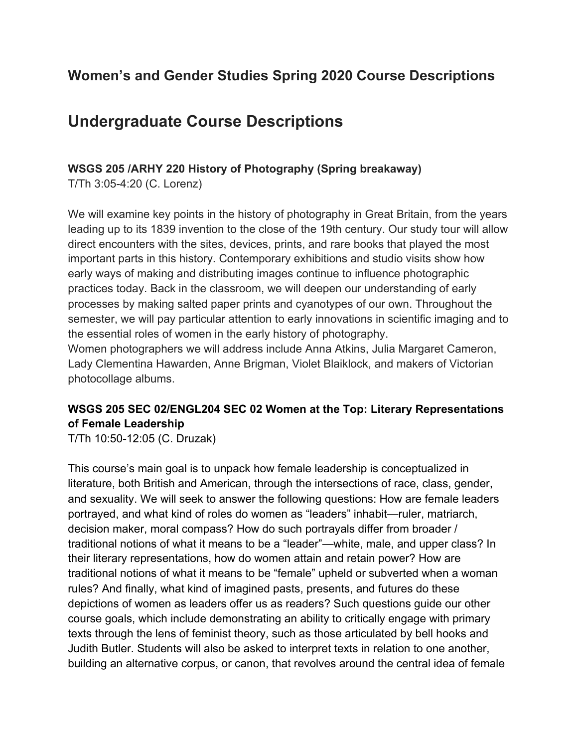## **Women's and Gender Studies Spring 2020 Course Descriptions**

# **Undergraduate Course Descriptions**

#### **WSGS 205 /ARHY 220 History of Photography (Spring breakaway)**

T/Th 3:05-4:20 (C. Lorenz)

We will examine key points in the history of photography in Great Britain, from the years leading up to its 1839 invention to the close of the 19th century. Our study tour will allow direct encounters with the sites, devices, prints, and rare books that played the most important parts in this history. Contemporary exhibitions and studio visits show how early ways of making and distributing images continue to influence photographic practices today. Back in the classroom, we will deepen our understanding of early processes by making salted paper prints and cyanotypes of our own. Throughout the semester, we will pay particular attention to early innovations in scientific imaging and to the essential roles of women in the early history of photography. Women photographers we will address include Anna Atkins, Julia Margaret Cameron,

Lady Clementina Hawarden, Anne Brigman, Violet Blaiklock, and makers of Victorian photocollage albums.

### **WSGS 205 SEC 02/ENGL204 SEC 02 Women at the Top: Literary Representations of Female Leadership**

T/Th 10:50-12:05 (C. Druzak)

This course's main goal is to unpack how female leadership is conceptualized in literature, both British and American, through the intersections of race, class, gender, and sexuality. We will seek to answer the following questions: How are female leaders portrayed, and what kind of roles do women as "leaders" inhabit—ruler, matriarch, decision maker, moral compass? How do such portrayals differ from broader / traditional notions of what it means to be a "leader"—white, male, and upper class? In their literary representations, how do women attain and retain power? How are traditional notions of what it means to be "female" upheld or subverted when a woman rules? And finally, what kind of imagined pasts, presents, and futures do these depictions of women as leaders offer us as readers? Such questions guide our other course goals, which include demonstrating an ability to critically engage with primary texts through the lens of feminist theory, such as those articulated by bell hooks and Judith Butler. Students will also be asked to interpret texts in relation to one another, building an alternative corpus, or canon, that revolves around the central idea of female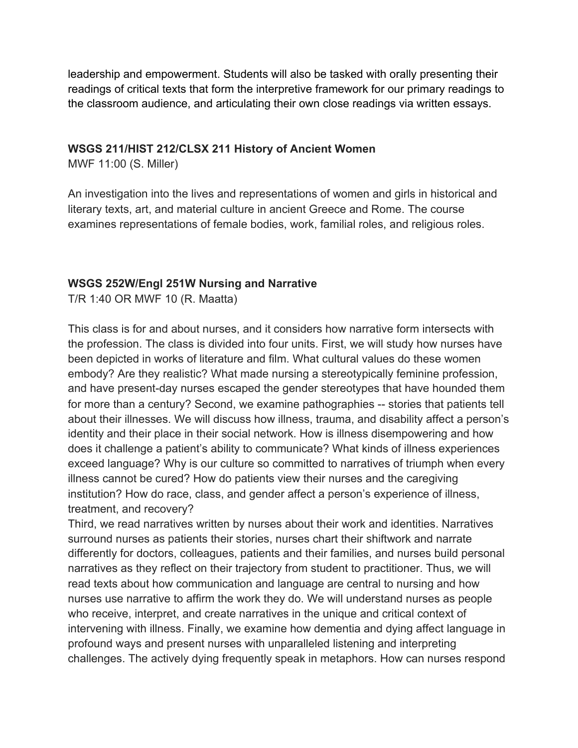leadership and empowerment. Students will also be tasked with orally presenting their readings of critical texts that form the interpretive framework for our primary readings to the classroom audience, and articulating their own close readings via written essays.

#### **WSGS 211/HIST 212/CLSX 211 History of Ancient Women**

MWF 11:00 (S. Miller)

An investigation into the lives and representations of women and girls in historical and literary texts, art, and material culture in ancient Greece and Rome. The course examines representations of female bodies, work, familial roles, and religious roles.

#### **WSGS 252W/Engl 251W Nursing and Narrative**

T/R 1:40 OR MWF 10 (R. Maatta)

This class is for and about nurses, and it considers how narrative form intersects with the profession. The class is divided into four units. First, we will study how nurses have been depicted in works of literature and film. What cultural values do these women embody? Are they realistic? What made nursing a stereotypically feminine profession, and have present-day nurses escaped the gender stereotypes that have hounded them for more than a century? Second, we examine pathographies -- stories that patients tell about their illnesses. We will discuss how illness, trauma, and disability affect a person's identity and their place in their social network. How is illness disempowering and how does it challenge a patient's ability to communicate? What kinds of illness experiences exceed language? Why is our culture so committed to narratives of triumph when every illness cannot be cured? How do patients view their nurses and the caregiving institution? How do race, class, and gender affect a person's experience of illness, treatment, and recovery?

Third, we read narratives written by nurses about their work and identities. Narratives surround nurses as patients their stories, nurses chart their shiftwork and narrate differently for doctors, colleagues, patients and their families, and nurses build personal narratives as they reflect on their trajectory from student to practitioner. Thus, we will read texts about how communication and language are central to nursing and how nurses use narrative to affirm the work they do. We will understand nurses as people who receive, interpret, and create narratives in the unique and critical context of intervening with illness. Finally, we examine how dementia and dying affect language in profound ways and present nurses with unparalleled listening and interpreting challenges. The actively dying frequently speak in metaphors. How can nurses respond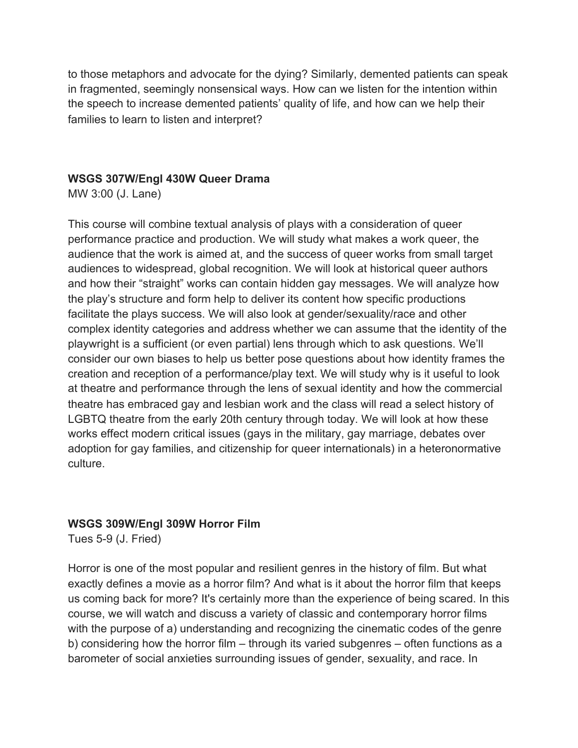to those metaphors and advocate for the dying? Similarly, demented patients can speak in fragmented, seemingly nonsensical ways. How can we listen for the intention within the speech to increase demented patients' quality of life, and how can we help their families to learn to listen and interpret?

#### **WSGS 307W/Engl 430W Queer Drama**

MW 3:00 (J. Lane)

This course will combine textual analysis of plays with a consideration of queer performance practice and production. We will study what makes a work queer, the audience that the work is aimed at, and the success of queer works from small target audiences to widespread, global recognition. We will look at historical queer authors and how their "straight" works can contain hidden gay messages. We will analyze how the play's structure and form help to deliver its content how specific productions facilitate the plays success. We will also look at gender/sexuality/race and other complex identity categories and address whether we can assume that the identity of the playwright is a sufficient (or even partial) lens through which to ask questions. We'll consider our own biases to help us better pose questions about how identity frames the creation and reception of a performance/play text. We will study why is it useful to look at theatre and performance through the lens of sexual identity and how the commercial theatre has embraced gay and lesbian work and the class will read a select history of LGBTQ theatre from the early 20th century through today. We will look at how these works effect modern critical issues (gays in the military, gay marriage, debates over adoption for gay families, and citizenship for queer internationals) in a heteronormative culture.

#### **WSGS 309W/Engl 309W Horror Film**

Tues 5-9 (J. Fried)

Horror is one of the most popular and resilient genres in the history of film. But what exactly defines a movie as a horror film? And what is it about the horror film that keeps us coming back for more? It's certainly more than the experience of being scared. In this course, we will watch and discuss a variety of classic and contemporary horror films with the purpose of a) understanding and recognizing the cinematic codes of the genre b) considering how the horror film – through its varied subgenres – often functions as a barometer of social anxieties surrounding issues of gender, sexuality, and race. In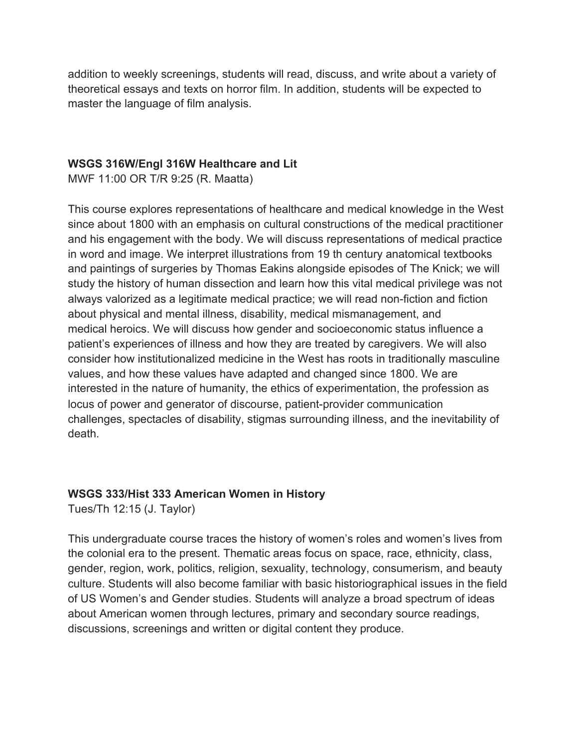addition to weekly screenings, students will read, discuss, and write about a variety of theoretical essays and texts on horror film. In addition, students will be expected to master the language of film analysis.

#### **WSGS 316W/Engl 316W Healthcare and Lit**

MWF 11:00 OR T/R 9:25 (R. Maatta)

This course explores representations of healthcare and medical knowledge in the West since about 1800 with an emphasis on cultural constructions of the medical practitioner and his engagement with the body. We will discuss representations of medical practice in word and image. We interpret illustrations from 19 th century anatomical textbooks and paintings of surgeries by Thomas Eakins alongside episodes of The Knick; we will study the history of human dissection and learn how this vital medical privilege was not always valorized as a legitimate medical practice; we will read non-fiction and fiction about physical and mental illness, disability, medical mismanagement, and medical heroics. We will discuss how gender and socioeconomic status influence a patient's experiences of illness and how they are treated by caregivers. We will also consider how institutionalized medicine in the West has roots in traditionally masculine values, and how these values have adapted and changed since 1800. We are interested in the nature of humanity, the ethics of experimentation, the profession as locus of power and generator of discourse, patient-provider communication challenges, spectacles of disability, stigmas surrounding illness, and the inevitability of death.

#### **WSGS 333/Hist 333 American Women in History**

Tues/Th 12:15 (J. Taylor)

This undergraduate course traces the history of women's roles and women's lives from the colonial era to the present. Thematic areas focus on space, race, ethnicity, class, gender, region, work, politics, religion, sexuality, technology, consumerism, and beauty culture. Students will also become familiar with basic historiographical issues in the field of US Women's and Gender studies. Students will analyze a broad spectrum of ideas about American women through lectures, primary and secondary source readings, discussions, screenings and written or digital content they produce.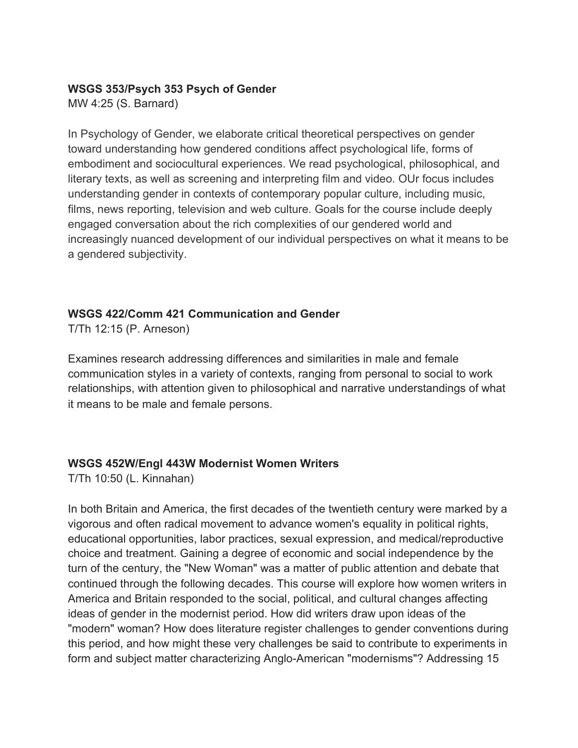#### **WSGS 353/Psych 353 Psych of Gender**

MW 4:25 (S. Barnard)

In Psychology of Gender, we elaborate critical theoretical perspectives on gender toward understanding how gendered conditions affect psychological life, forms of embodiment and sociocultural experiences. We read psychological, philosophical, and literary texts, as well as screening and interpreting film and video. OUr focus includes understanding gender in contexts of contemporary popular culture, including music, films, news reporting, television and web culture. Goals for the course include deeply engaged conversation about the rich complexities of our gendered world and increasingly nuanced development of our individual perspectives on what it means to be a gendered subjectivity.

#### **WSGS 422/Comm 421 Communication and Gender**

T/Th 12:15 (P. Arneson)

Examines research addressing differences and similarities in male and female communication styles in a variety of contexts, ranging from personal to social to work relationships, with attention given to philosophical and narrative understandings of what it means to be male and female persons.

### **WSGS 452W/Engl 443W Modernist Women Writers**

T/Th 10:50 (L. Kinnahan)

In both Britain and America, the first decades of the twentieth century were marked by a vigorous and often radical movement to advance women's equality in political rights, educational opportunities, labor practices, sexual expression, and medical/reproductive choice and treatment. Gaining a degree of economic and social independence by the turn of the century, the "New Woman" was a matter of public attention and debate that continued through the following decades. This course will explore how women writers in America and Britain responded to the social, political, and cultural changes affecting ideas of gender in the modernist period. How did writers draw upon ideas of the "modern" woman? How does literature register challenges to gender conventions during this period, and how might these very challenges be said to contribute to experiments in form and subject matter characterizing Anglo-American "modernisms"? Addressing 15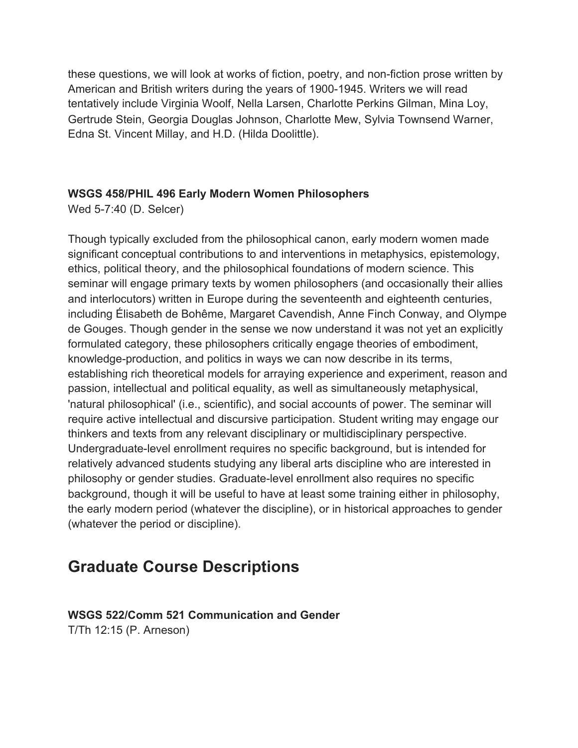these questions, we will look at works of fiction, poetry, and non-fiction prose written by American and British writers during the years of 1900-1945. Writers we will read tentatively include Virginia Woolf, Nella Larsen, Charlotte Perkins Gilman, Mina Loy, Gertrude Stein, Georgia Douglas Johnson, Charlotte Mew, Sylvia Townsend Warner, Edna St. Vincent Millay, and H.D. (Hilda Doolittle).

#### **WSGS 458/PHIL 496 Early Modern Women Philosophers**

Wed 5-7:40 (D. Selcer)

Though typically excluded from the philosophical canon, early modern women made significant conceptual contributions to and interventions in metaphysics, epistemology, ethics, political theory, and the philosophical foundations of modern science. This seminar will engage primary texts by women philosophers (and occasionally their allies and interlocutors) written in Europe during the seventeenth and eighteenth centuries, including Élisabeth de Bohême, Margaret Cavendish, Anne Finch Conway, and Olympe de Gouges. Though gender in the sense we now understand it was not yet an explicitly formulated category, these philosophers critically engage theories of embodiment, knowledge-production, and politics in ways we can now describe in its terms, establishing rich theoretical models for arraying experience and experiment, reason and passion, intellectual and political equality, as well as simultaneously metaphysical, 'natural philosophical' (i.e., scientific), and social accounts of power. The seminar will require active intellectual and discursive participation. Student writing may engage our thinkers and texts from any relevant disciplinary or multidisciplinary perspective. Undergraduate-level enrollment requires no specific background, but is intended for relatively advanced students studying any liberal arts discipline who are interested in philosophy or gender studies. Graduate-level enrollment also requires no specific background, though it will be useful to have at least some training either in philosophy, the early modern period (whatever the discipline), or in historical approaches to gender (whatever the period or discipline).

## **Graduate Course Descriptions**

#### **WSGS 522/Comm 521 Communication and Gender** T/Th 12:15 (P. Arneson)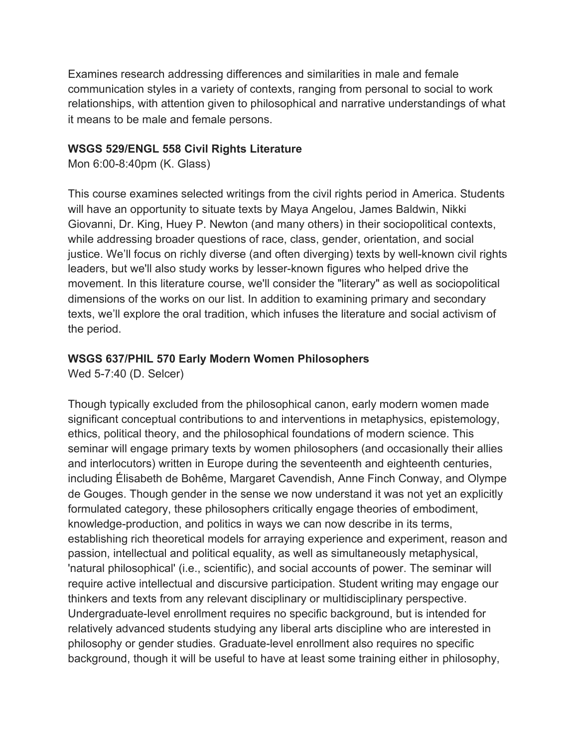Examines research addressing differences and similarities in male and female communication styles in a variety of contexts, ranging from personal to social to work relationships, with attention given to philosophical and narrative understandings of what it means to be male and female persons.

#### **WSGS 529/ENGL 558 Civil Rights Literature**

Mon 6:00-8:40pm (K. Glass)

This course examines selected writings from the civil rights period in America. Students will have an opportunity to situate texts by Maya Angelou, James Baldwin, Nikki Giovanni, Dr. King, Huey P. Newton (and many others) in their sociopolitical contexts, while addressing broader questions of race, class, gender, orientation, and social justice. We'll focus on richly diverse (and often diverging) texts by well-known civil rights leaders, but we'll also study works by lesser-known figures who helped drive the movement. In this literature course, we'll consider the "literary" as well as sociopolitical dimensions of the works on our list. In addition to examining primary and secondary texts, we'll explore the oral tradition, which infuses the literature and social activism of the period.

#### **WSGS 637/PHIL 570 Early Modern Women Philosophers**

Wed 5-7:40 (D. Selcer)

Though typically excluded from the philosophical canon, early modern women made significant conceptual contributions to and interventions in metaphysics, epistemology, ethics, political theory, and the philosophical foundations of modern science. This seminar will engage primary texts by women philosophers (and occasionally their allies and interlocutors) written in Europe during the seventeenth and eighteenth centuries, including Élisabeth de Bohême, Margaret Cavendish, Anne Finch Conway, and Olympe de Gouges. Though gender in the sense we now understand it was not yet an explicitly formulated category, these philosophers critically engage theories of embodiment, knowledge-production, and politics in ways we can now describe in its terms, establishing rich theoretical models for arraying experience and experiment, reason and passion, intellectual and political equality, as well as simultaneously metaphysical, 'natural philosophical' (i.e., scientific), and social accounts of power. The seminar will require active intellectual and discursive participation. Student writing may engage our thinkers and texts from any relevant disciplinary or multidisciplinary perspective. Undergraduate-level enrollment requires no specific background, but is intended for relatively advanced students studying any liberal arts discipline who are interested in philosophy or gender studies. Graduate-level enrollment also requires no specific background, though it will be useful to have at least some training either in philosophy,